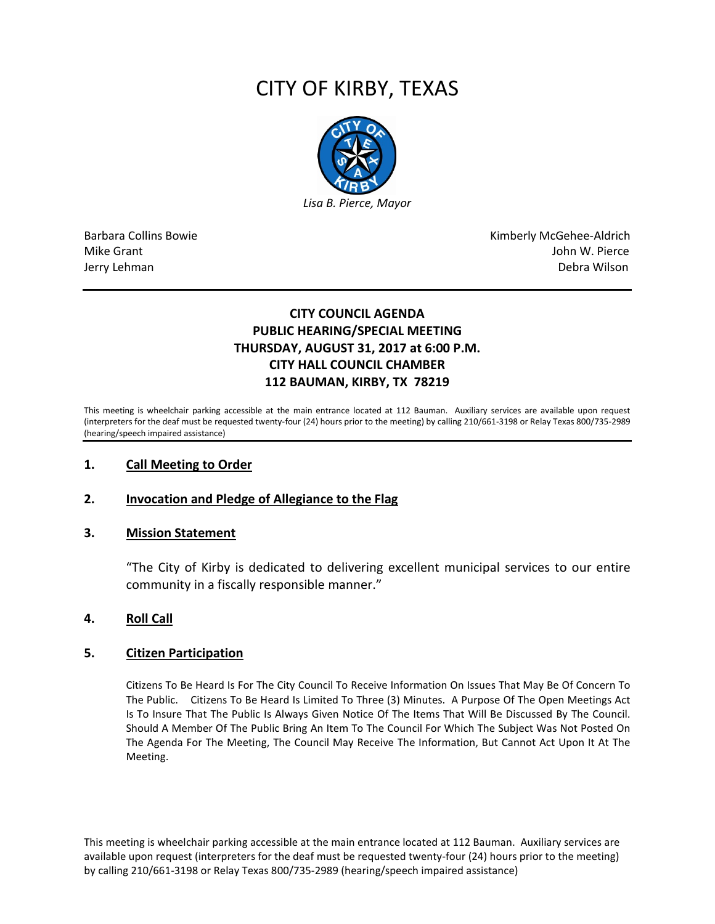# CITY OF KIRBY, TEXAS



Barbara Collins Bowie **Kimberly McGehee-Aldrich** Mike Grant John W. Pierce Jerry Lehman Debra Wilson (2008) and the state of the state of the state of the state of the state of the state of the state of the state of the state of the state of the state of the state of the state of the state of the

# **CITY COUNCIL AGENDA PUBLIC HEARING/SPECIAL MEETING THURSDAY, AUGUST 31, 2017 at 6:00 P.M. CITY HALL COUNCIL CHAMBER 112 BAUMAN, KIRBY, TX 78219**

This meeting is wheelchair parking accessible at the main entrance located at 112 Bauman. Auxiliary services are available upon request (interpreters for the deaf must be requested twenty-four (24) hours prior to the meeting) by calling 210/661-3198 or Relay Texas 800/735-2989 (hearing/speech impaired assistance)

## **1. Call Meeting to Order**

## **2. Invocation and Pledge of Allegiance to the Flag**

#### **3. Mission Statement**

"The City of Kirby is dedicated to delivering excellent municipal services to our entire community in a fiscally responsible manner."

#### **4. Roll Call**

#### **5. Citizen Participation**

Citizens To Be Heard Is For The City Council To Receive Information On Issues That May Be Of Concern To The Public. Citizens To Be Heard Is Limited To Three (3) Minutes. A Purpose Of The Open Meetings Act Is To Insure That The Public Is Always Given Notice Of The Items That Will Be Discussed By The Council. Should A Member Of The Public Bring An Item To The Council For Which The Subject Was Not Posted On The Agenda For The Meeting, The Council May Receive The Information, But Cannot Act Upon It At The Meeting.

This meeting is wheelchair parking accessible at the main entrance located at 112 Bauman. Auxiliary services are available upon request (interpreters for the deaf must be requested twenty-four (24) hours prior to the meeting) by calling 210/661-3198 or Relay Texas 800/735-2989 (hearing/speech impaired assistance)